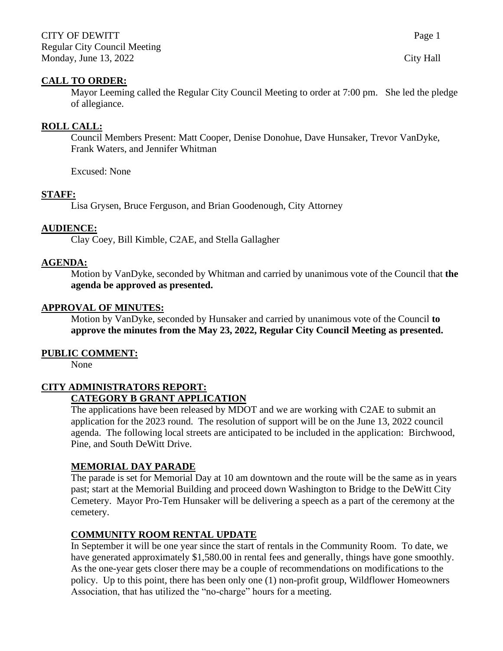### **CALL TO ORDER:**

Mayor Leeming called the Regular City Council Meeting to order at 7:00 pm. She led the pledge of allegiance.

### **ROLL CALL:**

Council Members Present: Matt Cooper, Denise Donohue, Dave Hunsaker, Trevor VanDyke, Frank Waters, and Jennifer Whitman

Excused: None

### **STAFF:**

Lisa Grysen, Bruce Ferguson, and Brian Goodenough, City Attorney

#### **AUDIENCE:**

Clay Coey, Bill Kimble, C2AE, and Stella Gallagher

#### **AGENDA:**

Motion by VanDyke, seconded by Whitman and carried by unanimous vote of the Council that **the agenda be approved as presented.**

#### **APPROVAL OF MINUTES:**

Motion by VanDyke, seconded by Hunsaker and carried by unanimous vote of the Council **to approve the minutes from the May 23, 2022, Regular City Council Meeting as presented.**

#### **PUBLIC COMMENT:**

None

### **CITY ADMINISTRATORS REPORT:**

### **CATEGORY B GRANT APPLICATION**

The applications have been released by MDOT and we are working with C2AE to submit an application for the 2023 round. The resolution of support will be on the June 13, 2022 council agenda. The following local streets are anticipated to be included in the application: Birchwood, Pine, and South DeWitt Drive.

### **MEMORIAL DAY PARADE**

The parade is set for Memorial Day at 10 am downtown and the route will be the same as in years past; start at the Memorial Building and proceed down Washington to Bridge to the DeWitt City Cemetery. Mayor Pro-Tem Hunsaker will be delivering a speech as a part of the ceremony at the cemetery.

### **COMMUNITY ROOM RENTAL UPDATE**

In September it will be one year since the start of rentals in the Community Room. To date, we have generated approximately \$1,580.00 in rental fees and generally, things have gone smoothly. As the one-year gets closer there may be a couple of recommendations on modifications to the policy. Up to this point, there has been only one (1) non-profit group, Wildflower Homeowners Association, that has utilized the "no-charge" hours for a meeting.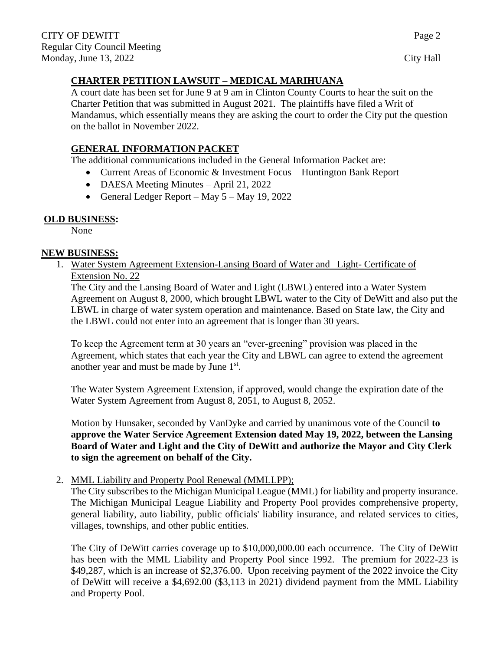## **CHARTER PETITION LAWSUIT – MEDICAL MARIHUANA**

A court date has been set for June 9 at 9 am in Clinton County Courts to hear the suit on the Charter Petition that was submitted in August 2021. The plaintiffs have filed a Writ of Mandamus, which essentially means they are asking the court to order the City put the question on the ballot in November 2022.

# **GENERAL INFORMATION PACKET**

The additional communications included in the General Information Packet are:

• Current Areas of Economic & Investment Focus – Huntington Bank Report

- DAESA Meeting Minutes April 21, 2022
- General Ledger Report May  $5 -$ May 19, 2022

# **OLD BUSINESS:**

None

## **NEW BUSINESS:**

1. Water System Agreement Extension-Lansing Board of Water and Light- Certificate of Extension No. 22

The City and the Lansing Board of Water and Light (LBWL) entered into a Water System Agreement on August 8, 2000, which brought LBWL water to the City of DeWitt and also put the LBWL in charge of water system operation and maintenance. Based on State law, the City and the LBWL could not enter into an agreement that is longer than 30 years.

To keep the Agreement term at 30 years an "ever-greening" provision was placed in the Agreement, which states that each year the City and LBWL can agree to extend the agreement another year and must be made by June  $1<sup>st</sup>$ .

The Water System Agreement Extension, if approved, would change the expiration date of the Water System Agreement from August 8, 2051, to August 8, 2052.

Motion by Hunsaker, seconded by VanDyke and carried by unanimous vote of the Council **to approve the Water Service Agreement Extension dated May 19, 2022, between the Lansing Board of Water and Light and the City of DeWitt and authorize the Mayor and City Clerk to sign the agreement on behalf of the City.**

## 2. MML Liability and Property Pool Renewal (MMLLPP);

The City subscribes to the Michigan Municipal League (MML) for liability and property insurance. The Michigan Municipal League Liability and Property Pool provides comprehensive property, general liability, auto liability, public officials' liability insurance, and related services to cities, villages, townships, and other public entities.

The City of DeWitt carries coverage up to \$10,000,000.00 each occurrence. The City of DeWitt has been with the MML Liability and Property Pool since 1992. The premium for 2022-23 is \$49,287, which is an increase of \$2,376.00. Upon receiving payment of the 2022 invoice the City of DeWitt will receive a \$4,692.00 (\$3,113 in 2021) dividend payment from the MML Liability and Property Pool.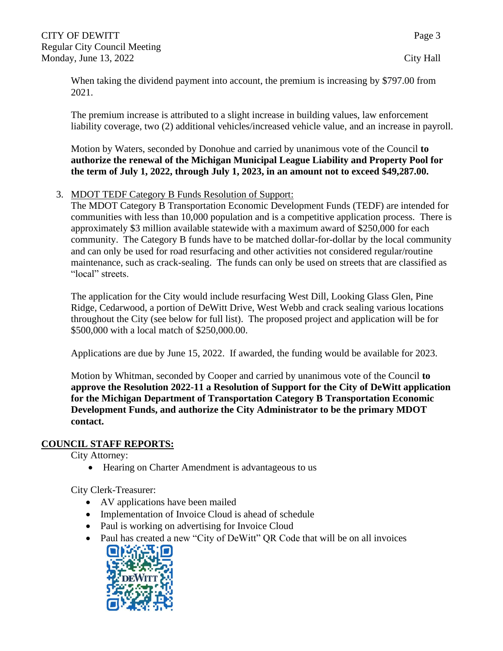When taking the dividend payment into account, the premium is increasing by \$797.00 from 2021.

The premium increase is attributed to a slight increase in building values, law enforcement liability coverage, two (2) additional vehicles/increased vehicle value, and an increase in payroll.

Motion by Waters, seconded by Donohue and carried by unanimous vote of the Council **to authorize the renewal of the Michigan Municipal League Liability and Property Pool for the term of July 1, 2022, through July 1, 2023, in an amount not to exceed \$49,287.00.**

## 3. MDOT TEDF Category B Funds Resolution of Support:

The MDOT Category B Transportation Economic Development Funds (TEDF) are intended for communities with less than 10,000 population and is a competitive application process. There is approximately \$3 million available statewide with a maximum award of \$250,000 for each community. The Category B funds have to be matched dollar-for-dollar by the local community and can only be used for road resurfacing and other activities not considered regular/routine maintenance, such as crack-sealing. The funds can only be used on streets that are classified as "local" streets.

The application for the City would include resurfacing West Dill, Looking Glass Glen, Pine Ridge, Cedarwood, a portion of DeWitt Drive, West Webb and crack sealing various locations throughout the City (see below for full list). The proposed project and application will be for \$500,000 with a local match of \$250,000.00.

Applications are due by June 15, 2022. If awarded, the funding would be available for 2023.

Motion by Whitman, seconded by Cooper and carried by unanimous vote of the Council **to approve the Resolution 2022-11 a Resolution of Support for the City of DeWitt application for the Michigan Department of Transportation Category B Transportation Economic Development Funds, and authorize the City Administrator to be the primary MDOT contact.**

## **COUNCIL STAFF REPORTS:**

City Attorney:

• Hearing on Charter Amendment is advantageous to us

City Clerk-Treasurer:

- AV applications have been mailed
- Implementation of Invoice Cloud is ahead of schedule
- Paul is working on advertising for Invoice Cloud
- Paul has created a new "City of DeWitt" QR Code that will be on all invoices